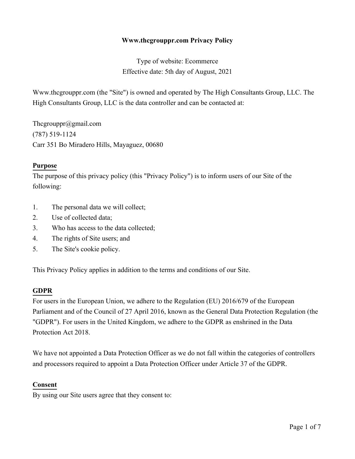### **Www.thcgrouppr.com Privacy Policy**

Type of website: Ecommerce Effective date: 5th day of August, 2021

Www.thcgrouppr.com (the "Site") is owned and operated by The High Consultants Group, LLC. The High Consultants Group, LLC is the data controller and can be contacted at:

Thcgrouppr@gmail.com (787) 519-1124 Carr 351 Bo Miradero Hills, Mayaguez, 00680

#### **Purpose**

The purpose of this privacy policy (this "Privacy Policy") is to inform users of our Site of the following:

- 1. The personal data we will collect;
- 2. Use of collected data;
- 3. Who has access to the data collected;
- 4. The rights of Site users; and
- 5. The Site's cookie policy.

This Privacy Policy applies in addition to the terms and conditions of our Site.

#### **GDPR**

For users in the European Union, we adhere to the Regulation (EU) 2016/679 of the European Parliament and of the Council of 27 April 2016, known as the General Data Protection Regulation (the "GDPR"). For users in the United Kingdom, we adhere to the GDPR as enshrined in the Data Protection Act 2018.

We have not appointed a Data Protection Officer as we do not fall within the categories of controllers and processors required to appoint a Data Protection Officer under Article 37 of the GDPR.

#### **Consent**

By using our Site users agree that they consent to: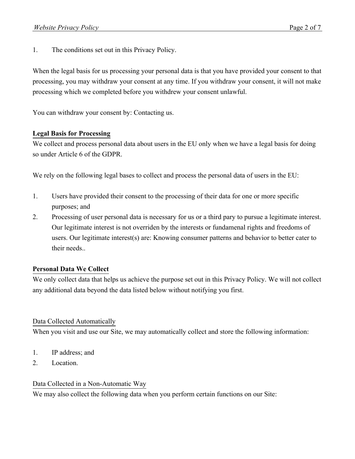1. The conditions set out in this Privacy Policy.

When the legal basis for us processing your personal data is that you have provided your consent to that processing, you may withdraw your consent at any time. If you withdraw your consent, it will not make processing which we completed before you withdrew your consent unlawful.

You can withdraw your consent by: Contacting us.

# **Legal Basis for Processing**

We collect and process personal data about users in the EU only when we have a legal basis for doing so under Article 6 of the GDPR.

We rely on the following legal bases to collect and process the personal data of users in the EU:

- 1. Users have provided their consent to the processing of their data for one or more specific purposes; and
- 2. Processing of user personal data is necessary for us or a third pary to pursue a legitimate interest. Our legitimate interest is not overriden by the interests or fundamenal rights and freedoms of users. Our legitimate interest(s) are: Knowing consumer patterns and behavior to better cater to their needs..

# **Personal Data We Collect**

We only collect data that helps us achieve the purpose set out in this Privacy Policy. We will not collect any additional data beyond the data listed below without notifying you first.

### Data Collected Automatically

When you visit and use our Site, we may automatically collect and store the following information:

- 1. IP address; and
- 2. Location.

### Data Collected in a Non-Automatic Way

We may also collect the following data when you perform certain functions on our Site: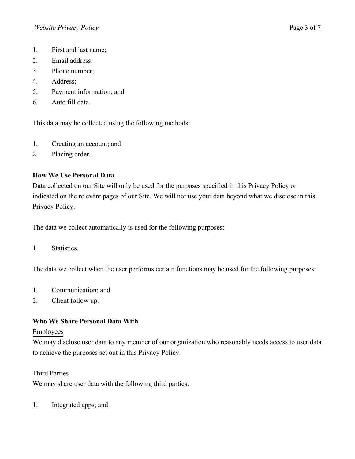- 1. First and last name;
- 2. Email address;
- 3. Phone number;
- 4. Address;
- 5. Payment information; and
- 6. Auto fill data.

This data may be collected using the following methods:

- 1. Creating an account; and
- 2. Placing order.

# **How We Use Personal Data**

Data collected on our Site will only be used for the purposes specified in this Privacy Policy or indicated on the relevant pages of our Site. We will not use your data beyond what we disclose in this Privacy Policy.

The data we collect automatically is used for the following purposes:

1. Statistics.

The data we collect when the user performs certain functions may be used for the following purposes:

- 1. Communication; and
- 2. Client follow up.

### **Who We Share Personal Data With**

#### Employees

We may disclose user data to any member of our organization who reasonably needs access to user data to achieve the purposes set out in this Privacy Policy.

### Third Parties

We may share user data with the following third parties:

1. Integrated apps; and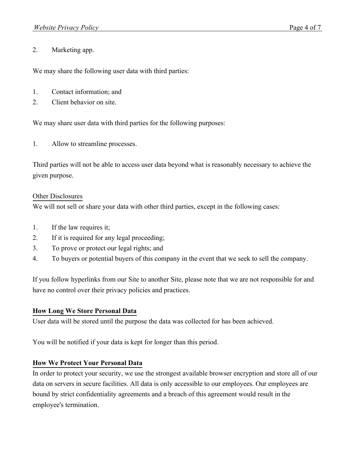### 2. Marketing app.

We may share the following user data with third parties:

- 1. Contact information; and
- 2. Client behavior on site.

We may share user data with third parties for the following purposes:

1. Allow to streamline processes.

Third parties will not be able to access user data beyond what is reasonably necessary to achieve the given purpose.

#### Other Disclosures

We will not sell or share your data with other third parties, except in the following cases:

- 1. If the law requires it;
- 2. If it is required for any legal proceeding;
- 3. To prove or protect our legal rights; and
- 4. To buyers or potential buyers of this company in the event that we seek to sell the company.

If you follow hyperlinks from our Site to another Site, please note that we are not responsible for and have no control over their privacy policies and practices.

### **How Long We Store Personal Data**

User data will be stored until the purpose the data was collected for has been achieved.

You will be notified if your data is kept for longer than this period.

### **How We Protect Your Personal Data**

In order to protect your security, we use the strongest available browser encryption and store all of our data on servers in secure facilities. All data is only accessible to our employees. Our employees are bound by strict confidentiality agreements and a breach of this agreement would result in the employee's termination.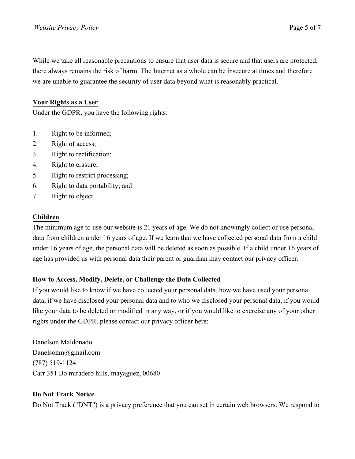While we take all reasonable precautions to ensure that user data is secure and that users are protected, there always remains the risk of harm. The Internet as a whole can be insecure at times and therefore we are unable to guarantee the security of user data beyond what is reasonably practical.

# **Your Rights as a User**

Under the GDPR, you have the following rights:

- 1. Right to be informed;
- 2. Right of access;
- 3. Right to rectification;
- 4. Right to erasure;
- 5. Right to restrict processing;
- 6. Right to data portability; and
- 7. Right to object.

#### **Children**

The minimum age to use our website is 21 years of age. We do not knowingly collect or use personal data from children under 16 years of age. If we learn that we have collected personal data from a child under 16 years of age, the personal data will be deleted as soon as possible. If a child under 16 years of age has provided us with personal data their parent or guardian may contact our privacy officer.

### **How to Access, Modify, Delete, or Challenge the Data Collected**

If you would like to know if we have collected your personal data, how we have used your personal data, if we have disclosed your personal data and to who we disclosed your personal data, if you would like your data to be deleted or modified in any way, or if you would like to exercise any of your other rights under the GDPR, please contact our privacy officer here:

Danelson Maldonado Danelsonm@gmail.com (787) 519-1124 Carr 351 Bo miradero hills, mayaguez, 00680

### **Do Not Track Notice**

Do Not Track ("DNT") is a privacy preference that you can set in certain web browsers. We respond to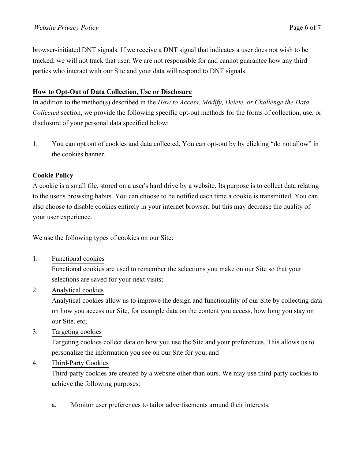browser-initiated DNT signals. If we receive a DNT signal that indicates a user does not wish to be tracked, we will not track that user. We are not responsible for and cannot guarantee how any third parties who interact with our Site and your data will respond to DNT signals.

# **How to Opt-Out of Data Collection, Use or Disclosure**

In addition to the method(s) described in the *How to Access, Modify, Delete, or Challenge the Data Collected* section, we provide the following specific opt-out methods for the forms of collection, use, or disclosure of your personal data specified below:

1. You can opt out of cookies and data collected. You can opt-out by by clicking "do not allow" in the cookies banner.

### **Cookie Policy**

A cookie is a small file, stored on a user's hard drive by a website. Its purpose is to collect data relating to the user's browsing habits. You can choose to be notified each time a cookie is transmitted. You can also choose to disable cookies entirely in your internet browser, but this may decrease the quality of your user experience.

We use the following types of cookies on our Site:

1. Functional cookies

Functional cookies are used to remember the selections you make on our Site so that your selections are saved for your next visits;

2. Analytical cookies

Analytical cookies allow us to improve the design and functionality of our Site by collecting data on how you access our Site, for example data on the content you access, how long you stay on our Site, etc;

3. Targeting cookies

Targeting cookies collect data on how you use the Site and your preferences. This allows us to personalize the information you see on our Site for you; and

4. Third-Party Cookies

Third-party cookies are created by a website other than ours. We may use third-party cookies to achieve the following purposes:

a. Monitor user preferences to tailor advertisements around their interests.